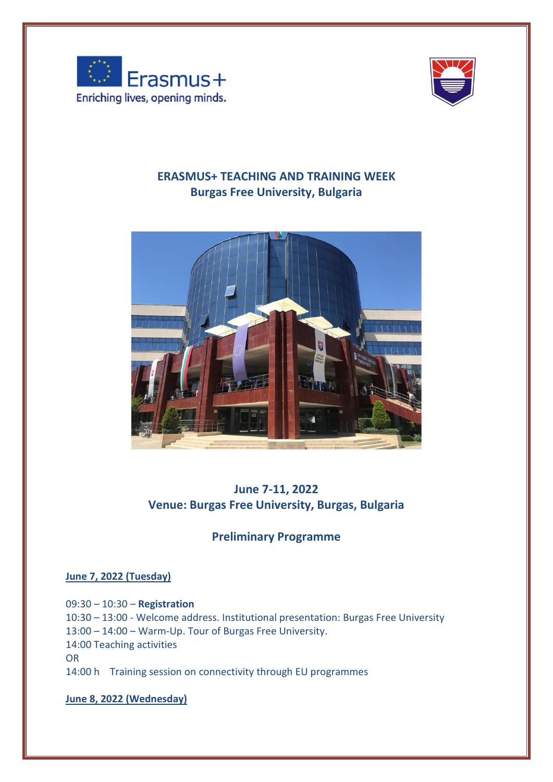



## **ERASMUS+ TEACHING AND TRAINING WEEK Burgas Free University, Bulgaria**



# **June 7-11, 2022 Venue: Burgas Free University, Burgas, Bulgaria**

# **Preliminary Programme**

### **June 7, 2022 (Tuesday)**

09:30 – 10:30 – **Registration** 10:30 – 13:00 - Welcome address. Institutional presentation: Burgas Free University 13:00 – 14:00 – Warm-Up. Tour of Burgas Free University. 14:00 Teaching activities OR 14:00 h Training session on connectivity through EU programmes

**June 8, 2022 (Wednesday)**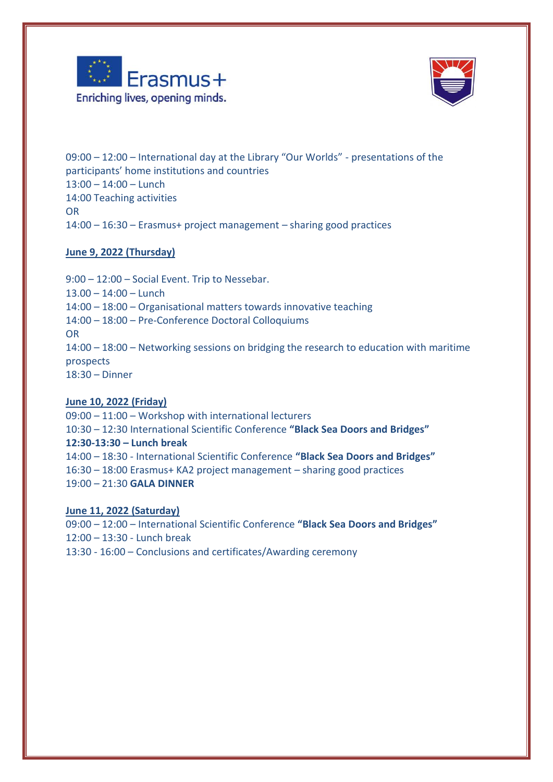



09:00 – 12:00 – International day at the Library "Our Worlds" - presentations of the participants' home institutions and countries 13:00 – 14:00 – Lunch 14:00 Teaching activities OR 14:00 – 16:30 – Erasmus+ project management – sharing good practices

### **June 9, 2022 (Thursday)**

9:00 – 12:00 – Social Event. Trip to Nessebar. 13.00 – 14:00 – Lunch 14:00 – 18:00 – Organisational matters towards innovative teaching 14:00 – 18:00 – Pre-Conference Doctoral Colloquiums OR 14:00 – 18:00 – Networking sessions on bridging the research to education with maritime prospects 18:30 – Dinner

### **June 10, 2022 (Friday)**

09:00 – 11:00 – Workshop with international lecturers 10:30 – 12:30 International Scientific Conference **"Black Sea Doors and Bridges" 12:30-13:30 – Lunch break**  14:00 – 18:30 - International Scientific Conference **"Black Sea Doors and Bridges"** 16:30 – 18:00 Erasmus+ KA2 project management – sharing good practices 19:00 – 21:30 **GALA DINNER**

#### **June 11, 2022 (Saturday)**

09:00 – 12:00 – International Scientific Conference **"Black Sea Doors and Bridges"** 12:00 – 13:30 - Lunch break 13:30 - 16:00 – Conclusions and certificates/Awarding ceremony